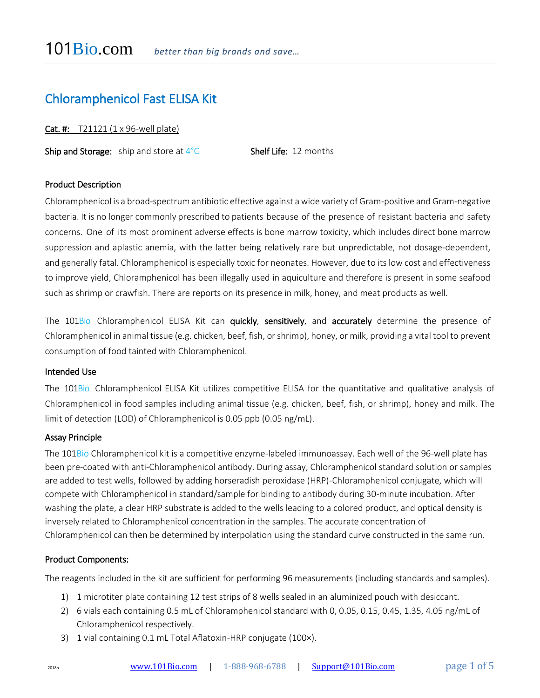# Chloramphenicol Fast ELISA Kit

Cat. #: T21121 (1 x 96-well plate)

**Ship and Storage:** ship and store at  $4^{\circ}$ C **Shelf Life:** 12 months

# Product Description

Chloramphenicol is a broad-spectrum antibiotic effective against a wide variety of Gram-positive and Gram-negative bacteria. It is no longer commonly prescribed to patients because of the presence of resistant bacteria and safety concerns. One of its most prominent adverse effects is bone marrow toxicity, which includes direct bone marrow suppression and aplastic anemia, with the latter being relatively rare but unpredictable, not dosage-dependent, and generally fatal. Chloramphenicol is especially toxic for neonates. However, due to its low cost and effectiveness to improve yield, Chloramphenicol has been illegally used in aquiculture and therefore is present in some seafood such as shrimp or crawfish. There are reports on its presence in milk, honey, and meat products as well.

The 101Bio Chloramphenicol ELISA Kit can quickly, sensitively, and accurately determine the presence of Chloramphenicol in animal tissue (e.g. chicken, beef, fish, or shrimp), honey, or milk, providing a vital tool to prevent consumption of food tainted with Chloramphenicol.

#### Intended Use

The 101Bio Chloramphenicol ELISA Kit utilizes competitive ELISA for the quantitative and qualitative analysis of Chloramphenicol in food samples including animal tissue (e.g. chicken, beef, fish, or shrimp), honey and milk. The limit of detection (LOD) of Chloramphenicol is 0.05 ppb (0.05 ng/mL).

### Assay Principle

The 101Bio Chloramphenicol kit is a competitive enzyme-labeled immunoassay. Each well of the 96-well plate has been pre-coated with anti-Chloramphenicol antibody. During assay, Chloramphenicol standard solution or samples are added to test wells, followed by adding horseradish peroxidase (HRP)-Chloramphenicol conjugate, which will compete with Chloramphenicol in standard/sample for binding to antibody during 30-minute incubation. After washing the plate, a clear HRP substrate is added to the wells leading to a colored product, and optical density is inversely related to Chloramphenicol concentration in the samples. The accurate concentration of Chloramphenicol can then be determined by interpolation using the standard curve constructed in the same run.

#### Product Components:

The reagents included in the kit are sufficient for performing 96 measurements (including standards and samples).

- 1) 1 microtiter plate containing 12 test strips of 8 wells sealed in an aluminized pouch with desiccant.
- 2) 6 vials each containing 0.5 mL of Chloramphenicol standard with 0, 0.05, 0.15, 0.45, 1.35, 4.05 ng/mL of Chloramphenicol respectively.
- 3) 1 vial containing 0.1 mL Total Aflatoxin-HRP conjugate (100×).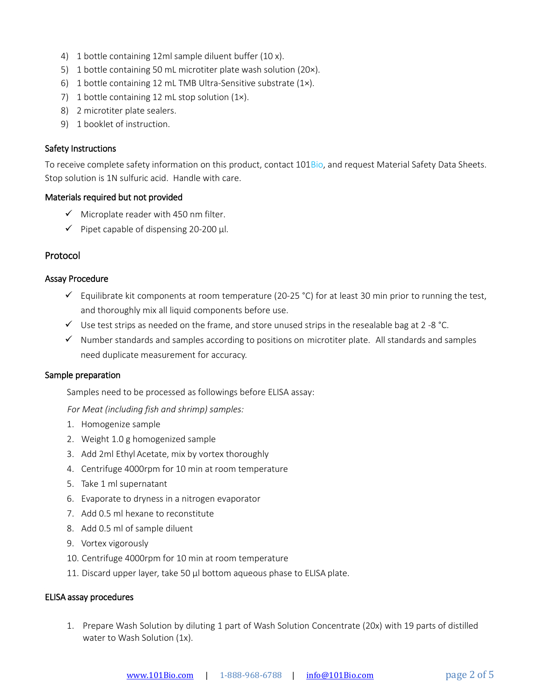- 4) 1 bottle containing 12ml sample diluent buffer (10 x).
- 5) 1 bottle containing 50 mL microtiter plate wash solution (20×).
- 6) 1 bottle containing 12 mL TMB Ultra-Sensitive substrate (1×).
- 7) 1 bottle containing 12 mL stop solution (1x).
- 8) 2 microtiter plate sealers.
- 9) 1 booklet of instruction.

## Safety Instructions

To receive complete safety information on this product, contact 101Bio, and request Material Safety Data Sheets. Stop solution is 1N sulfuric acid. Handle with care.

## Materials required but not provided

- $\checkmark$  Microplate reader with 450 nm filter.
- $\checkmark$  Pipet capable of dispensing 20-200 µl.

# Protocol

## Assay Procedure

- $\checkmark$  Equilibrate kit components at room temperature (20-25 °C) for at least 30 min prior to running the test, and thoroughly mix all liquid components before use.
- $\checkmark$  Use test strips as needed on the frame, and store unused strips in the resealable bag at 2 -8 °C.
- $\checkmark$  Number standards and samples according to positions on microtiter plate. All standards and samples need duplicate measurement for accuracy.

#### Sample preparation

Samples need to be processed as followings before ELISA assay:

*For Meat (including fish and shrimp) samples:* 

- 1. Homogenize sample
- 2. Weight 1.0 g homogenized sample
- 3. Add 2ml Ethyl Acetate, mix by vortex thoroughly
- 4. Centrifuge 4000rpm for 10 min at room temperature
- 5. Take 1 ml supernatant
- 6. Evaporate to dryness in a nitrogen evaporator
- 7. Add 0.5 ml hexane to reconstitute
- 8. Add 0.5 ml of sample diluent
- 9. Vortex vigorously
- 10. Centrifuge 4000rpm for 10 min at room temperature
- 11. Discard upper layer, take 50 µl bottom aqueous phase to ELISA plate.

#### ELISA assay procedures

1. Prepare Wash Solution by diluting 1 part of Wash Solution Concentrate (20x) with 19 parts of distilled water to Wash Solution (1x).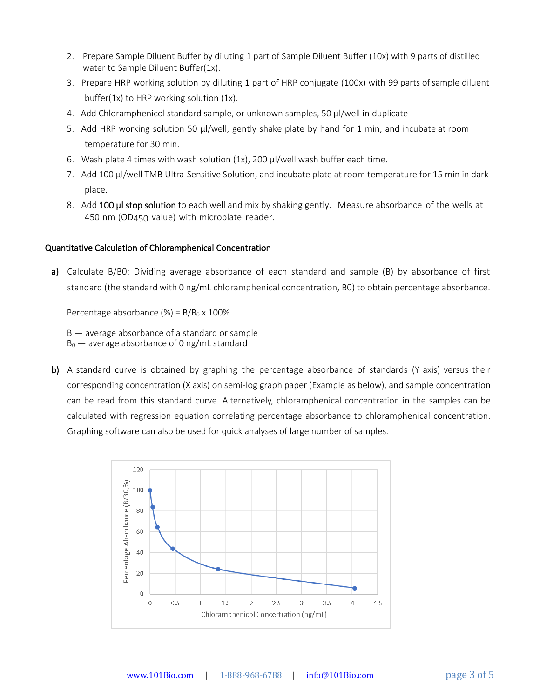- 2. Prepare Sample Diluent Buffer by diluting 1 part of Sample Diluent Buffer (10x) with 9 parts of distilled water to Sample Diluent Buffer(1x).
- 3. Prepare HRP working solution by diluting 1 part of HRP conjugate (100x) with 99 parts ofsample diluent buffer(1x) to HRP working solution (1x).
- 4. Add Chloramphenicol standard sample, or unknown samples, 50 µl/well in duplicate
- 5. Add HRP working solution 50 µl/well, gently shake plate by hand for 1 min, and incubate at room temperature for 30 min.
- 6. Wash plate 4 times with wash solution  $(1x)$ , 200  $\mu$ l/well wash buffer each time.
- 7. Add 100 µl/well TMB Ultra-Sensitive Solution, and incubate plate at room temperature for 15 min in dark place.
- 8. Add 100 µl stop solution to each well and mix by shaking gently. Measure absorbance of the wells at 450 nm (OD450 value) with microplate reader.

# Quantitative Calculation of Chloramphenical Concentration

a) Calculate B/B0: Dividing average absorbance of each standard and sample (B) by absorbance of first standard (the standard with 0 ng/mL chloramphenical concentration, B0) to obtain percentage absorbance.

Percentage absorbance  $(\%) = B/B<sub>0</sub> \times 100\%$ 

B — average absorbance of a standard or sample

 $B_0$  — average absorbance of 0 ng/mL standard

b) A standard curve is obtained by graphing the percentage absorbance of standards (Y axis) versus their corresponding concentration (X axis) on semi-log graph paper (Example as below), and sample concentration can be read from this standard curve. Alternatively, chloramphenical concentration in the samples can be calculated with regression equation correlating percentage absorbance to chloramphenical concentration. Graphing software can also be used for quick analyses of large number of samples.

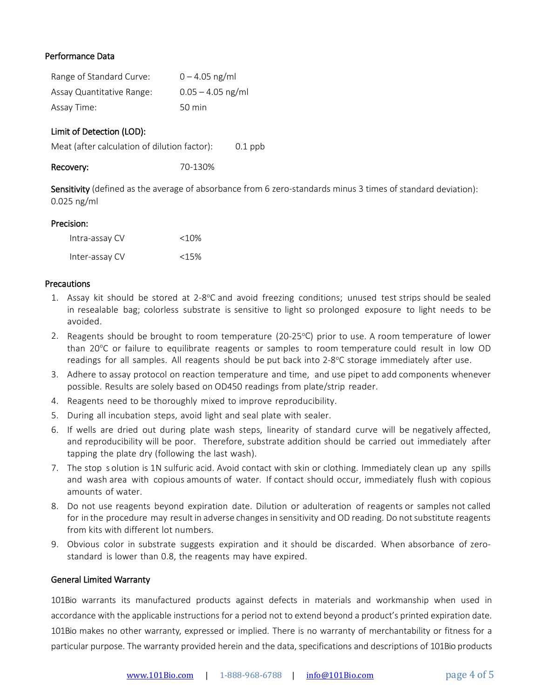# Performance Data

| Range of Standard Curve:  | $0 - 4.05$ ng/ml    |
|---------------------------|---------------------|
| Assay Quantitative Range: | $0.05 - 4.05$ ng/ml |
| Assay Time:               | 50 min              |

# Limit of Detection (LOD):

Meat (after calculation of dilution factor): 0.1 ppb

Recovery: 70-130%

Sensitivity (defined as the average of absorbance from 6 zero-standards minus 3 times of standard deviation): 0.025 ng/ml

## Precision:

| Intra-assay CV | $<10\%$ |
|----------------|---------|
| Inter-assay CV | <15%    |

## **Precautions**

- 1. Assay kit should be stored at 2-8°C and avoid freezing conditions; unused test strips should be sealed in resealable bag; colorless substrate is sensitive to light so prolonged exposure to light needs to be avoided.
- 2. Reagents should be brought to room temperature (20-25 $\degree$ C) prior to use. A room temperature of lower than 20°C or failure to equilibrate reagents or samples to room temperature could result in low OD readings for all samples. All reagents should be put back into 2-8°C storage immediately after use.
- 3. Adhere to assay protocol on reaction temperature and time, and use pipet to add components whenever possible. Results are solely based on OD450 readings from plate/strip reader.
- 4. Reagents need to be thoroughly mixed to improve reproducibility.
- 5. During all incubation steps, avoid light and seal plate with sealer.
- 6. If wells are dried out during plate wash steps, linearity of standard curve will be negatively affected, and reproducibility will be poor. Therefore, substrate addition should be carried out immediately after tapping the plate dry (following the last wash).
- 7. The stop s olution is 1N sulfuric acid. Avoid contact with skin or clothing. Immediately clean up any spills and wash area with copious amounts of water. If contact should occur, immediately flush with copious amounts of water.
- 8. Do not use reagents beyond expiration date. Dilution or adulteration of reagents or samples not called for in the procedure may result in adverse changes in sensitivity and OD reading. Do not substitute reagents from kits with different lot numbers.
- 9. Obvious color in substrate suggests expiration and it should be discarded. When absorbance of zerostandard is lower than 0.8, the reagents may have expired.

# General Limited Warranty

101Bio warrants its manufactured products against defects in materials and workmanship when used in accordance with the applicable instructions for a period not to extend beyond a product's printed expiration date. 101Bio makes no other warranty, expressed or implied. There is no warranty of merchantability or fitness for a particular purpose. The warranty provided herein and the data, specifications and descriptions of 101Bio products